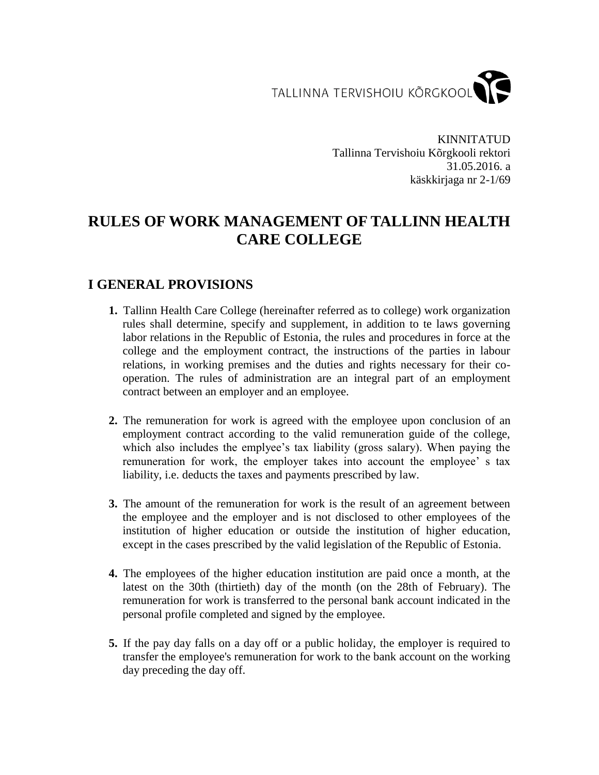TALLINNA TERVISHOIU KÕRGKOOL

KINNITATUD Tallinna Tervishoiu Kõrgkooli rektori 31.05.2016. a käskkirjaga nr 2-1/69

# **RULES OF WORK MANAGEMENT OF TALLINN HEALTH CARE COLLEGE**

## **I GENERAL PROVISIONS**

- **1.** Tallinn Health Care College (hereinafter referred as to college) work organization rules shall determine, specify and supplement, in addition to te laws governing labor relations in the Republic of Estonia, the rules and procedures in force at the college and the employment contract, the instructions of the parties in labour relations, in working premises and the duties and rights necessary for their cooperation. The rules of administration are an integral part of an employment contract between an employer and an employee.
- **2.** The remuneration for work is agreed with the employee upon conclusion of an employment contract according to the valid remuneration guide of the college, which also includes the emplyee's tax liability (gross salary). When paying the remuneration for work, the employer takes into account the employee' s tax liability, i.e. deducts the taxes and payments prescribed by law.
- **3.** The amount of the remuneration for work is the result of an agreement between the employee and the employer and is not disclosed to other employees of the institution of higher education or outside the institution of higher education, except in the cases prescribed by the valid legislation of the Republic of Estonia.
- **4.** The employees of the higher education institution are paid once a month, at the latest on the 30th (thirtieth) day of the month (on the 28th of February). The remuneration for work is transferred to the personal bank account indicated in the personal profile completed and signed by the employee.
- **5.** If the pay day falls on a day off or a public holiday, the employer is required to transfer the employee's remuneration for work to the bank account on the working day preceding the day off.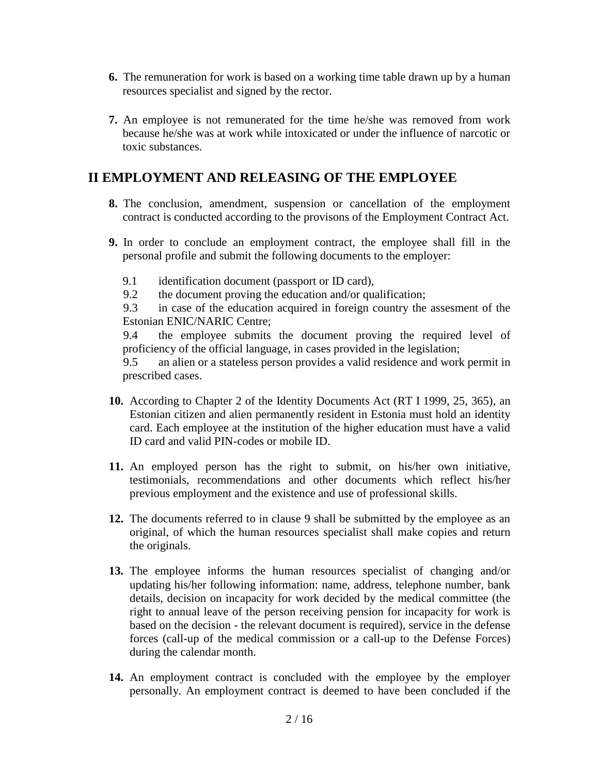- **6.** The remuneration for work is based on a working time table drawn up by a human resources specialist and signed by the rector.
- **7.** An employee is not remunerated for the time he/she was removed from work because he/she was at work while intoxicated or under the influence of narcotic or toxic substances.

### **II EMPLOYMENT AND RELEASING OF THE EMPLOYEE**

- **8.** The conclusion, amendment, suspension or cancellation of the employment contract is conducted according to the provisons of the Employment Contract Act.
- **9.** In order to conclude an employment contract, the employee shall fill in the personal profile and submit the following documents to the employer:
	- 9.1 identification document (passport or ID card),
	- 9.2 the document proving the education and/or qualification;

9.3 in case of the education acquired in foreign country the assesment of the Estonian ENIC/NARIC Centre;

9.4 the employee submits the document proving the required level of proficiency of the official language, in cases provided in the legislation;

9.5 an alien or a stateless person provides a valid residence and work permit in prescribed cases.

- **10.** According to Chapter 2 of the Identity Documents Act (RT I 1999, 25, 365), an Estonian citizen and alien permanently resident in Estonia must hold an identity card. Each employee at the institution of the higher education must have a valid ID card and valid PIN-codes or mobile ID.
- **11.** An employed person has the right to submit, on his/her own initiative, testimonials, recommendations and other documents which reflect his/her previous employment and the existence and use of professional skills.
- **12.** The documents referred to in clause 9 shall be submitted by the employee as an original, of which the human resources specialist shall make copies and return the originals.
- **13.** The employee informs the human resources specialist of changing and/or updating his/her following information: name, address, telephone number, bank details, decision on incapacity for work decided by the medical committee (the right to annual leave of the person receiving pension for incapacity for work is based on the decision - the relevant document is required), service in the defense forces (call-up of the medical commission or a call-up to the Defense Forces) during the calendar month.
- 14. An employment contract is concluded with the employee by the employer personally. An employment contract is deemed to have been concluded if the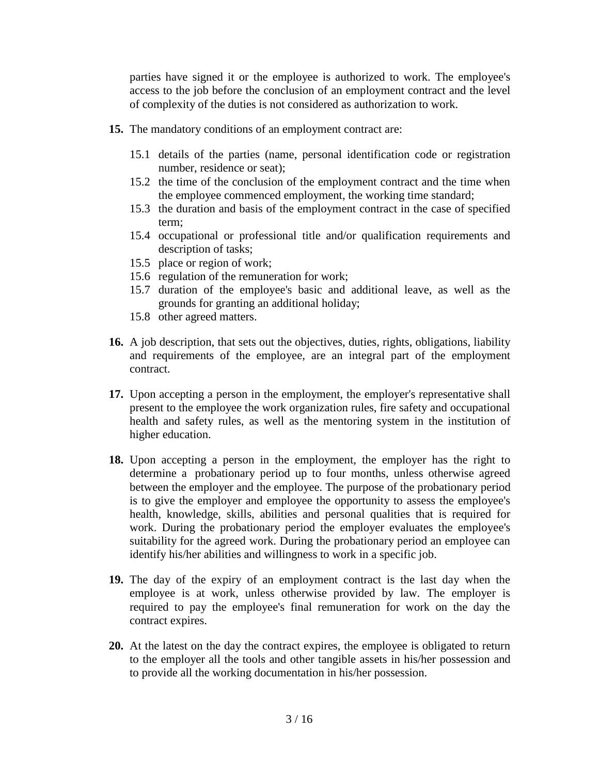parties have signed it or the employee is authorized to work. The employee's access to the job before the conclusion of an employment contract and the level of complexity of the duties is not considered as authorization to work.

- **15.** The mandatory conditions of an employment contract are:
	- 15.1 details of the parties (name, personal identification code or registration number, residence or seat);
	- 15.2 the time of the conclusion of the employment contract and the time when the employee commenced employment, the working time standard;
	- 15.3 the duration and basis of the employment contract in the case of specified term;
	- 15.4 occupational or professional title and/or qualification requirements and description of tasks;
	- 15.5 place or region of work;
	- 15.6 regulation of the remuneration for work;
	- 15.7 duration of the employee's basic and additional leave, as well as the grounds for granting an additional holiday;
	- 15.8 other agreed matters.
- **16.** A job description, that sets out the objectives, duties, rights, obligations, liability and requirements of the employee, are an integral part of the employment contract.
- **17.** Upon accepting a person in the employment, the employer's representative shall present to the employee the work organization rules, fire safety and occupational health and safety rules, as well as the mentoring system in the institution of higher education.
- **18.** Upon accepting a person in the employment, the employer has the right to determine a probationary period up to four months, unless otherwise agreed between the employer and the employee. The purpose of the probationary period is to give the employer and employee the opportunity to assess the employee's health, knowledge, skills, abilities and personal qualities that is required for work. During the probationary period the employer evaluates the employee's suitability for the agreed work. During the probationary period an employee can identify his/her abilities and willingness to work in a specific job.
- **19.** The day of the expiry of an employment contract is the last day when the employee is at work, unless otherwise provided by law. The employer is required to pay the employee's final remuneration for work on the day the contract expires.
- **20.** At the latest on the day the contract expires, the employee is obligated to return to the employer all the tools and other tangible assets in his/her possession and to provide all the working documentation in his/her possession.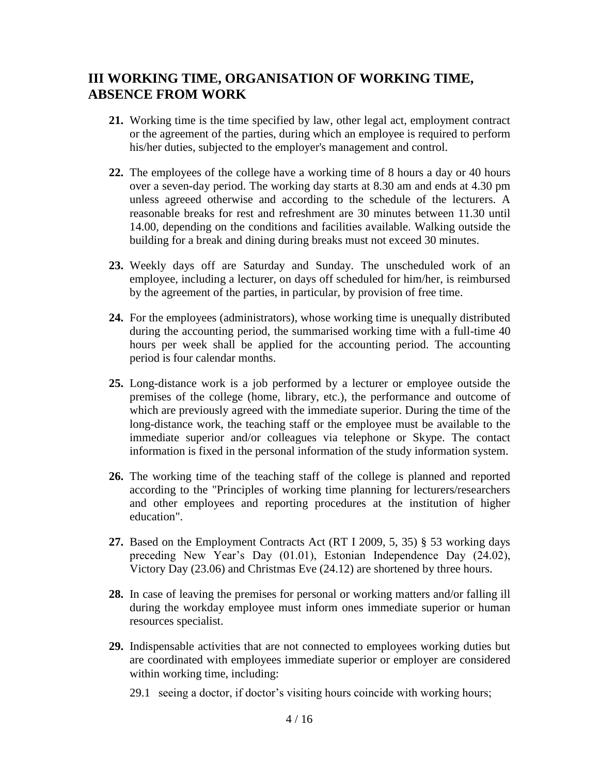## **III WORKING TIME, ORGANISATION OF WORKING TIME, ABSENCE FROM WORK**

- **21.** Working time is the time specified by law, other legal act, employment contract or the agreement of the parties, during which an employee is required to perform his/her duties, subjected to the employer's management and control.
- **22.** The employees of the college have a working time of 8 hours a day or 40 hours over a seven-day period. The working day starts at 8.30 am and ends at 4.30 pm unless agreeed otherwise and according to the schedule of the lecturers. A reasonable breaks for rest and refreshment are 30 minutes between 11.30 until 14.00, depending on the conditions and facilities available. Walking outside the building for a break and dining during breaks must not exceed 30 minutes.
- **23.** Weekly days off are Saturday and Sunday. The unscheduled work of an employee, including a lecturer, on days off scheduled for him/her, is reimbursed by the agreement of the parties, in particular, by provision of free time.
- **24.** For the employees (administrators), whose working time is unequally distributed during the accounting period, the summarised working time with a full-time 40 hours per week shall be applied for the accounting period. The accounting period is four calendar months.
- **25.** Long-distance work is a job performed by a lecturer or employee outside the premises of the college (home, library, etc.), the performance and outcome of which are previously agreed with the immediate superior. During the time of the long-distance work, the teaching staff or the employee must be available to the immediate superior and/or colleagues via telephone or Skype. The contact information is fixed in the personal information of the study information system.
- **26.** The working time of the teaching staff of the college is planned and reported according to the "Principles of working time planning for lecturers/researchers and other employees and reporting procedures at the institution of higher education".
- **27.** Based on the Employment Contracts Act (RT I 2009, 5, 35) § 53 working days preceding New Year's Day (01.01), Estonian Independence Day (24.02), Victory Day (23.06) and Christmas Eve (24.12) are shortened by three hours.
- **28.** In case of leaving the premises for personal or working matters and/or falling ill during the workday employee must inform ones immediate superior or human resources specialist.
- **29.** Indispensable activities that are not connected to employees working duties but are coordinated with employees immediate superior or employer are considered within working time, including:
	- 29.1 seeing a doctor, if doctor's visiting hours coincide with working hours;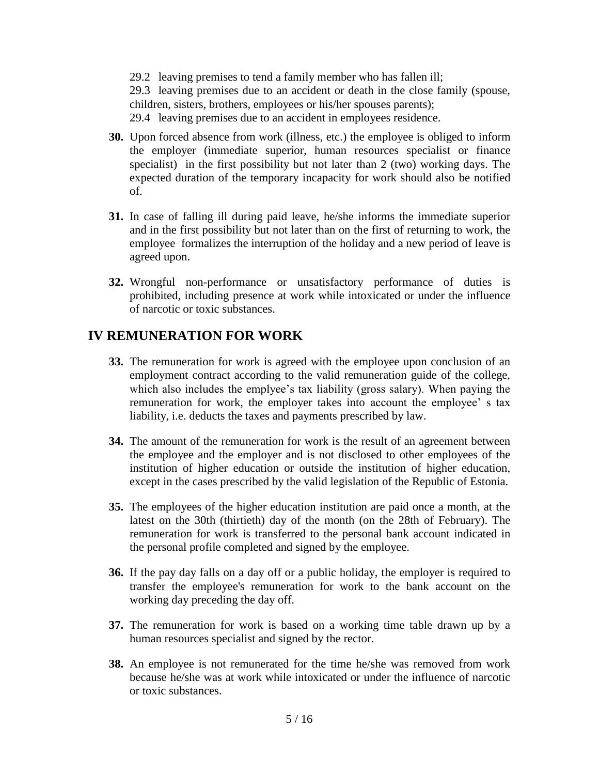29.2 leaving premises to tend a family member who has fallen ill;

29.3 leaving premises due to an accident or death in the close family (spouse, children, sisters, brothers, employees or his/her spouses parents);

29.4 leaving premises due to an accident in employees residence.

- **30.** Upon forced absence from work (illness, etc.) the employee is obliged to inform the employer (immediate superior, human resources specialist or finance specialist) in the first possibility but not later than 2 (two) working days. The expected duration of the temporary incapacity for work should also be notified of.
- **31.** In case of falling ill during paid leave, he/she informs the immediate superior and in the first possibility but not later than on the first of returning to work, the employee formalizes the interruption of the holiday and a new period of leave is agreed upon.
- **32.** Wrongful non-performance or unsatisfactory performance of duties is prohibited, including presence at work while intoxicated or under the influence of narcotic or toxic substances.

## **IV REMUNERATION FOR WORK**

- **33.** The remuneration for work is agreed with the employee upon conclusion of an employment contract according to the valid remuneration guide of the college, which also includes the emplyee's tax liability (gross salary). When paying the remuneration for work, the employer takes into account the employee' s tax liability, i.e. deducts the taxes and payments prescribed by law.
- **34.** The amount of the remuneration for work is the result of an agreement between the employee and the employer and is not disclosed to other employees of the institution of higher education or outside the institution of higher education, except in the cases prescribed by the valid legislation of the Republic of Estonia.
- **35.** The employees of the higher education institution are paid once a month, at the latest on the 30th (thirtieth) day of the month (on the 28th of February). The remuneration for work is transferred to the personal bank account indicated in the personal profile completed and signed by the employee.
- **36.** If the pay day falls on a day off or a public holiday, the employer is required to transfer the employee's remuneration for work to the bank account on the working day preceding the day off.
- **37.** The remuneration for work is based on a working time table drawn up by a human resources specialist and signed by the rector.
- **38.** An employee is not remunerated for the time he/she was removed from work because he/she was at work while intoxicated or under the influence of narcotic or toxic substances.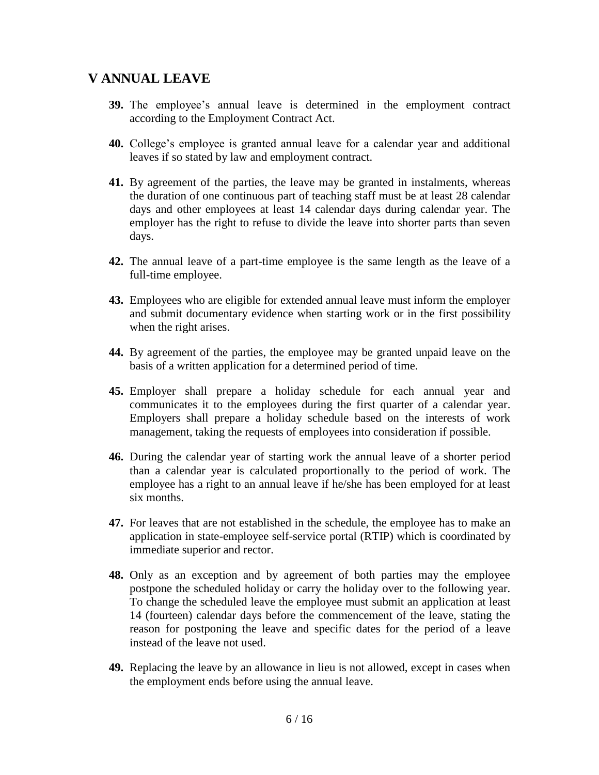### **V ANNUAL LEAVE**

- **39.** The employee's annual leave is determined in the employment contract according to the Employment Contract Act.
- **40.** College's employee is granted annual leave for a calendar year and additional leaves if so stated by law and employment contract.
- **41.** By agreement of the parties, the leave may be granted in instalments, whereas the duration of one continuous part of teaching staff must be at least 28 calendar days and other employees at least 14 calendar days during calendar year. The employer has the right to refuse to divide the leave into shorter parts than seven days.
- **42.** The annual leave of a part-time employee is the same length as the leave of a full-time employee.
- **43.** Employees who are eligible for extended annual leave must inform the employer and submit documentary evidence when starting work or in the first possibility when the right arises.
- **44.** By agreement of the parties, the employee may be granted unpaid leave on the basis of a written application for a determined period of time.
- **45.** Employer shall prepare a holiday schedule for each annual year and communicates it to the employees during the first quarter of a calendar year. Employers shall prepare a holiday schedule based on the interests of work management, taking the requests of employees into consideration if possible.
- **46.** During the calendar year of starting work the annual leave of a shorter period than a calendar year is calculated proportionally to the period of work. The employee has a right to an annual leave if he/she has been employed for at least six months.
- **47.** For leaves that are not established in the schedule, the employee has to make an application in state-employee self-service portal (RTIP) which is coordinated by immediate superior and rector.
- **48.** Only as an exception and by agreement of both parties may the employee postpone the scheduled holiday or carry the holiday over to the following year. To change the scheduled leave the employee must submit an application at least 14 (fourteen) calendar days before the commencement of the leave, stating the reason for postponing the leave and specific dates for the period of a leave instead of the leave not used.
- **49.** Replacing the leave by an allowance in lieu is not allowed, except in cases when the employment ends before using the annual leave.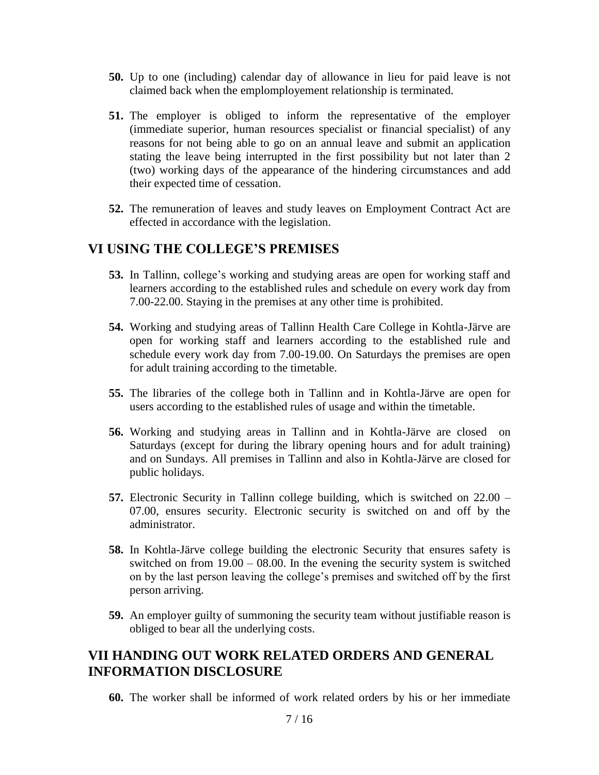- **50.** Up to one (including) calendar day of allowance in lieu for paid leave is not claimed back when the emplomployement relationship is terminated.
- **51.** The employer is obliged to inform the representative of the employer (immediate superior, human resources specialist or financial specialist) of any reasons for not being able to go on an annual leave and submit an application stating the leave being interrupted in the first possibility but not later than 2 (two) working days of the appearance of the hindering circumstances and add their expected time of cessation.
- **52.** The remuneration of leaves and study leaves on Employment Contract Act are effected in accordance with the legislation.

### **VI USING THE COLLEGE'S PREMISES**

- **53.** In Tallinn, college's working and studying areas are open for working staff and learners according to the established rules and schedule on every work day from 7.00-22.00. Staying in the premises at any other time is prohibited.
- **54.** Working and studying areas of Tallinn Health Care College in Kohtla-Järve are open for working staff and learners according to the established rule and schedule every work day from 7.00-19.00. On Saturdays the premises are open for adult training according to the timetable.
- **55.** The libraries of the college both in Tallinn and in Kohtla-Järve are open for users according to the established rules of usage and within the timetable.
- **56.** Working and studying areas in Tallinn and in Kohtla-Järve are closed on Saturdays (except for during the library opening hours and for adult training) and on Sundays. All premises in Tallinn and also in Kohtla-Järve are closed for public holidays.
- **57.** Electronic Security in Tallinn college building, which is switched on 22.00 07.00, ensures security. Electronic security is switched on and off by the administrator.
- **58.** In Kohtla-Järve college building the electronic Security that ensures safety is switched on from 19.00 – 08.00. In the evening the security system is switched on by the last person leaving the college's premises and switched off by the first person arriving.
- **59.** An employer guilty of summoning the security team without justifiable reason is obliged to bear all the underlying costs.

### **VII HANDING OUT WORK RELATED ORDERS AND GENERAL INFORMATION DISCLOSURE**

**60.** The worker shall be informed of work related orders by his or her immediate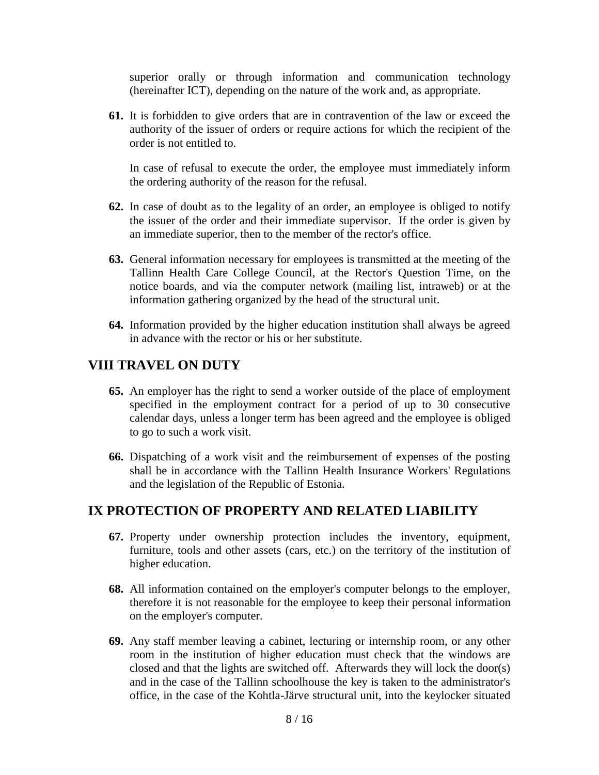superior orally or through information and communication technology (hereinafter ICT), depending on the nature of the work and, as appropriate.

**61.** It is forbidden to give orders that are in contravention of the law or exceed the authority of the issuer of orders or require actions for which the recipient of the order is not entitled to.

In case of refusal to execute the order, the employee must immediately inform the ordering authority of the reason for the refusal.

- **62.** In case of doubt as to the legality of an order, an employee is obliged to notify the issuer of the order and their immediate supervisor. If the order is given by an immediate superior, then to the member of the rector's office.
- **63.** General information necessary for employees is transmitted at the meeting of the Tallinn Health Care College Council, at the Rector's Question Time, on the notice boards, and via the computer network (mailing list, intraweb) or at the information gathering organized by the head of the structural unit.
- **64.** Information provided by the higher education institution shall always be agreed in advance with the rector or his or her substitute.

### **VIII TRAVEL ON DUTY**

- **65.** An employer has the right to send a worker outside of the place of employment specified in the employment contract for a period of up to 30 consecutive calendar days, unless a longer term has been agreed and the employee is obliged to go to such a work visit.
- **66.** Dispatching of a work visit and the reimbursement of expenses of the posting shall be in accordance with the Tallinn Health Insurance Workers' Regulations and the legislation of the Republic of Estonia.

### **IX PROTECTION OF PROPERTY AND RELATED LIABILITY**

- **67.** Property under ownership protection includes the inventory, equipment, furniture, tools and other assets (cars, etc.) on the territory of the institution of higher education.
- **68.** All information contained on the employer's computer belongs to the employer, therefore it is not reasonable for the employee to keep their personal information on the employer's computer.
- **69.** Any staff member leaving a cabinet, lecturing or internship room, or any other room in the institution of higher education must check that the windows are closed and that the lights are switched off. Afterwards they will lock the door(s) and in the case of the Tallinn schoolhouse the key is taken to the administrator's office, in the case of the Kohtla-Järve structural unit, into the keylocker situated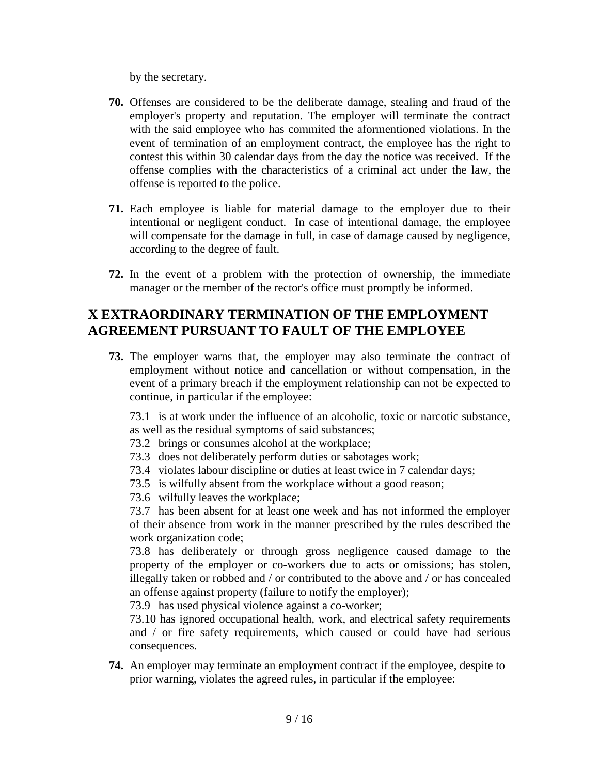by the secretary.

- **70.** Offenses are considered to be the deliberate damage, stealing and fraud of the employer's property and reputation. The employer will terminate the contract with the said employee who has commited the aformentioned violations. In the event of termination of an employment contract, the employee has the right to contest this within 30 calendar days from the day the notice was received. If the offense complies with the characteristics of a criminal act under the law, the offense is reported to the police.
- **71.** Each employee is liable for material damage to the employer due to their intentional or negligent conduct. In case of intentional damage, the employee will compensate for the damage in full, in case of damage caused by negligence, according to the degree of fault.
- **72.** In the event of a problem with the protection of ownership, the immediate manager or the member of the rector's office must promptly be informed.

## **X EXTRAORDINARY TERMINATION OF THE EMPLOYMENT AGREEMENT PURSUANT TO FAULT OF THE EMPLOYEE**

**73.** The employer warns that, the employer may also terminate the contract of employment without notice and cancellation or without compensation, in the event of a primary breach if the employment relationship can not be expected to continue, in particular if the employee:

73.1 is at work under the influence of an alcoholic, toxic or narcotic substance, as well as the residual symptoms of said substances;

73.2 brings or consumes alcohol at the workplace;

- 73.3 does not deliberately perform duties or sabotages work;
- 73.4 violates labour discipline or duties at least twice in 7 calendar days;
- 73.5 is wilfully absent from the workplace without a good reason;

73.6 wilfully leaves the workplace;

73.7 has been absent for at least one week and has not informed the employer of their absence from work in the manner prescribed by the rules described the work organization code;

73.8 has deliberately or through gross negligence caused damage to the property of the employer or co-workers due to acts or omissions; has stolen, illegally taken or robbed and / or contributed to the above and / or has concealed an offense against property (failure to notify the employer);

73.9 has used physical violence against a co-worker;

73.10 has ignored occupational health, work, and electrical safety requirements and / or fire safety requirements, which caused or could have had serious consequences.

**74.** An employer may terminate an employment contract if the employee, despite to prior warning, violates the agreed rules, in particular if the employee: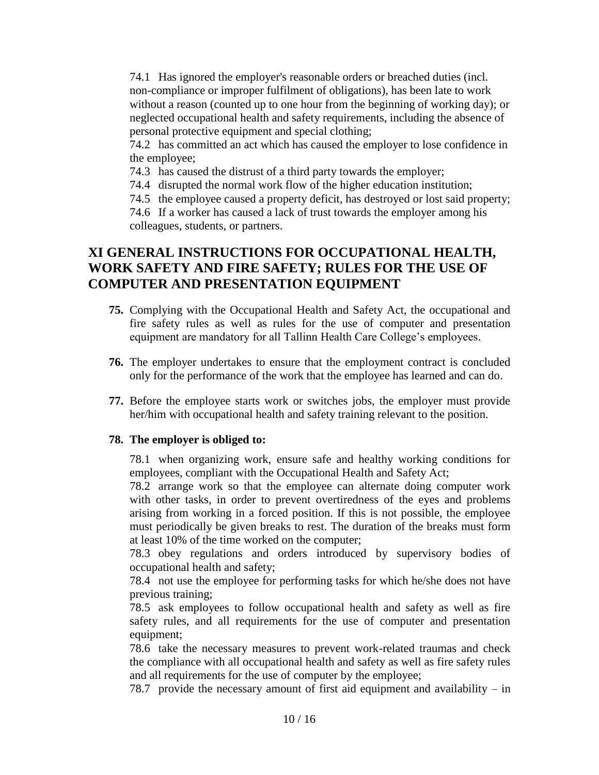74.1 Has ignored the employer's reasonable orders or breached duties (incl. non-compliance or improper fulfilment of obligations), has been late to work without a reason (counted up to one hour from the beginning of working day); or neglected occupational health and safety requirements, including the absence of personal protective equipment and special clothing;

74.2 has committed an act which has caused the employer to lose confidence in the employee;

74.3 has caused the distrust of a third party towards the employer;

74.4 disrupted the normal work flow of the higher education institution;

74.5 the employee caused a property deficit, has destroyed or lost said property;

74.6 If a worker has caused a lack of trust towards the employer among his colleagues, students, or partners.

## **XI GENERAL INSTRUCTIONS FOR OCCUPATIONAL HEALTH, WORK SAFETY AND FIRE SAFETY; RULES FOR THE USE OF COMPUTER AND PRESENTATION EQUIPMENT**

- **75.** Complying with the Occupational Health and Safety Act, the occupational and fire safety rules as well as rules for the use of computer and presentation equipment are mandatory for all Tallinn Health Care College's employees.
- **76.** The employer undertakes to ensure that the employment contract is concluded only for the performance of the work that the employee has learned and can do.
- **77.** Before the employee starts work or switches jobs, the employer must provide her/him with occupational health and safety training relevant to the position.

### **78. The employer is obliged to:**

78.1 when organizing work, ensure safe and healthy working conditions for employees, compliant with the Occupational Health and Safety Act;

78.2 arrange work so that the employee can alternate doing computer work with other tasks, in order to prevent overtiredness of the eyes and problems arising from working in a forced position. If this is not possible, the employee must periodically be given breaks to rest. The duration of the breaks must form at least 10% of the time worked on the computer;

78.3 obey regulations and orders introduced by supervisory bodies of occupational health and safety;

78.4 not use the employee for performing tasks for which he/she does not have previous training;

78.5 ask employees to follow occupational health and safety as well as fire safety rules, and all requirements for the use of computer and presentation equipment;

78.6 take the necessary measures to prevent work-related traumas and check the compliance with all occupational health and safety as well as fire safety rules and all requirements for the use of computer by the employee;

78.7 provide the necessary amount of first aid equipment and availability – in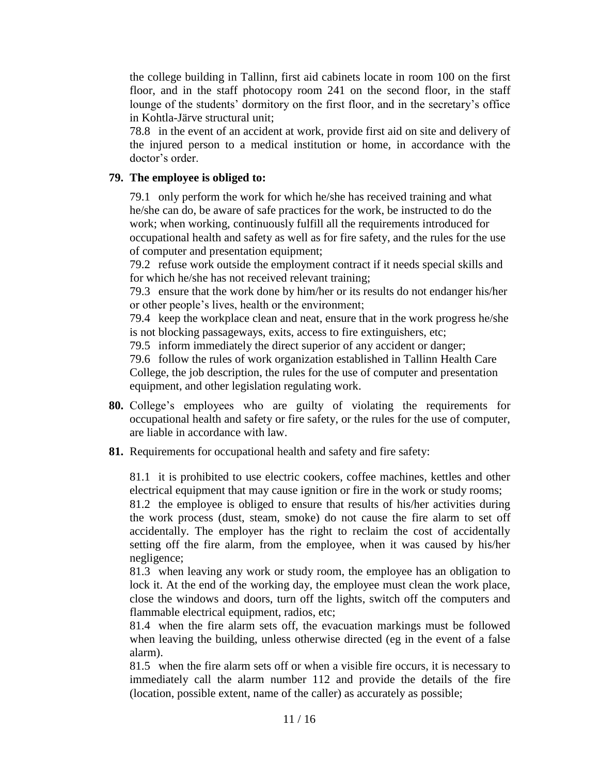the college building in Tallinn, first aid cabinets locate in room 100 on the first floor, and in the staff photocopy room 241 on the second floor, in the staff lounge of the students' dormitory on the first floor, and in the secretary's office in Kohtla-Järve structural unit;

78.8 in the event of an accident at work, provide first aid on site and delivery of the injured person to a medical institution or home, in accordance with the doctor's order.

### **79. The employee is obliged to:**

79.1 only perform the work for which he/she has received training and what he/she can do, be aware of safe practices for the work, be instructed to do the work; when working, continuously fulfill all the requirements introduced for occupational health and safety as well as for fire safety, and the rules for the use of computer and presentation equipment;

79.2 refuse work outside the employment contract if it needs special skills and for which he/she has not received relevant training;

79.3 ensure that the work done by him/her or its results do not endanger his/her or other people's lives, health or the environment;

79.4 keep the workplace clean and neat, ensure that in the work progress he/she is not blocking passageways, exits, access to fire extinguishers, etc;

79.5 inform immediately the direct superior of any accident or danger;

79.6 follow the rules of work organization established in Tallinn Health Care College, the job description, the rules for the use of computer and presentation equipment, and other legislation regulating work.

- **80.** College's employees who are guilty of violating the requirements for occupational health and safety or fire safety, or the rules for the use of computer, are liable in accordance with law.
- **81.** Requirements for occupational health and safety and fire safety:

81.1 it is prohibited to use electric cookers, coffee machines, kettles and other electrical equipment that may cause ignition or fire in the work or study rooms; 81.2 the employee is obliged to ensure that results of his/her activities during the work process (dust, steam, smoke) do not cause the fire alarm to set off accidentally. The employer has the right to reclaim the cost of accidentally setting off the fire alarm, from the employee, when it was caused by his/her negligence;

81.3 when leaving any work or study room, the employee has an obligation to lock it. At the end of the working day, the employee must clean the work place, close the windows and doors, turn off the lights, switch off the computers and flammable electrical equipment, radios, etc;

81.4 when the fire alarm sets off, the evacuation markings must be followed when leaving the building, unless otherwise directed (eg in the event of a false alarm).

81.5 when the fire alarm sets off or when a visible fire occurs, it is necessary to immediately call the alarm number 112 and provide the details of the fire (location, possible extent, name of the caller) as accurately as possible;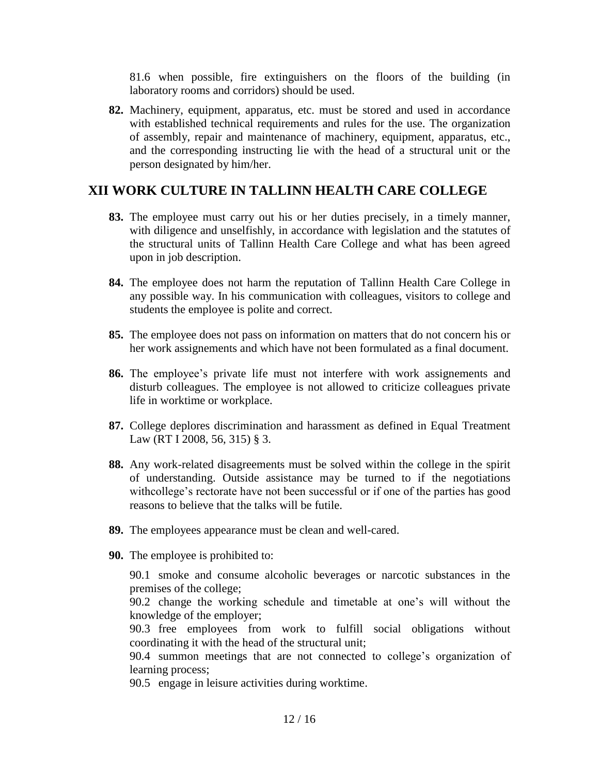81.6 when possible, fire extinguishers on the floors of the building (in laboratory rooms and corridors) should be used.

**82.** Machinery, equipment, apparatus, etc. must be stored and used in accordance with established technical requirements and rules for the use. The organization of assembly, repair and maintenance of machinery, equipment, apparatus, etc., and the corresponding instructing lie with the head of a structural unit or the person designated by him/her.

## **XII WORK CULTURE IN TALLINN HEALTH CARE COLLEGE**

- **83.** The employee must carry out his or her duties precisely, in a timely manner, with diligence and unselfishly, in accordance with legislation and the statutes of the structural units of Tallinn Health Care College and what has been agreed upon in job description.
- **84.** The employee does not harm the reputation of Tallinn Health Care College in any possible way. In his communication with colleagues, visitors to college and students the employee is polite and correct.
- **85.** The employee does not pass on information on matters that do not concern his or her work assignements and which have not been formulated as a final document.
- **86.** The employee's private life must not interfere with work assignements and disturb colleagues. The employee is not allowed to criticize colleagues private life in worktime or workplace.
- **87.** College deplores discrimination and harassment as defined in Equal Treatment Law (RT I 2008, 56, 315) § 3.
- **88.** Any work-related disagreements must be solved within the college in the spirit of understanding. Outside assistance may be turned to if the negotiations withcollege's rectorate have not been successful or if one of the parties has good reasons to believe that the talks will be futile.
- **89.** The employees appearance must be clean and well-cared.
- **90.** The employee is prohibited to:

90.1 smoke and consume alcoholic beverages or narcotic substances in the premises of the college;

90.2 change the working schedule and timetable at one's will without the knowledge of the employer;

90.3 free employees from work to fulfill social obligations without coordinating it with the head of the structural unit;

90.4 summon meetings that are not connected to college's organization of learning process;

90.5 engage in leisure activities during worktime.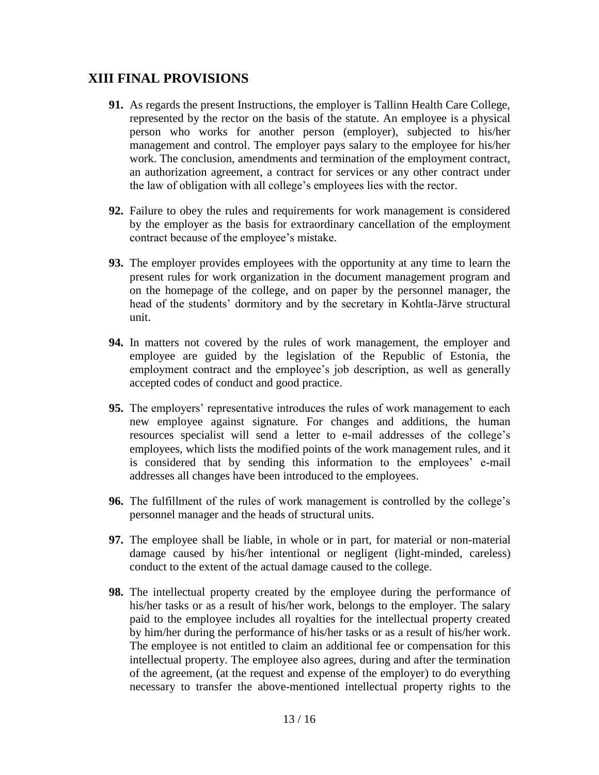## **XIII FINAL PROVISIONS**

- **91.** As regards the present Instructions, the employer is Tallinn Health Care College, represented by the rector on the basis of the statute. An employee is a physical person who works for another person (employer), subjected to his/her management and control. The employer pays salary to the employee for his/her work. The conclusion, amendments and termination of the employment contract, an authorization agreement, a contract for services or any other contract under the law of obligation with all college's employees lies with the rector.
- **92.** Failure to obey the rules and requirements for work management is considered by the employer as the basis for extraordinary cancellation of the employment contract because of the employee's mistake.
- **93.** The employer provides employees with the opportunity at any time to learn the present rules for work organization in the document management program and on the homepage of the college, and on paper by the personnel manager, the head of the students' dormitory and by the secretary in Kohtla-Järve structural unit.
- **94.** In matters not covered by the rules of work management, the employer and employee are guided by the legislation of the Republic of Estonia, the employment contract and the employee's job description, as well as generally accepted codes of conduct and good practice.
- **95.** The employers' representative introduces the rules of work management to each new employee against signature. For changes and additions, the human resources specialist will send a letter to e-mail addresses of the college's employees, which lists the modified points of the work management rules, and it is considered that by sending this information to the employees' e-mail addresses all changes have been introduced to the employees.
- **96.** The fulfillment of the rules of work management is controlled by the college's personnel manager and the heads of structural units.
- **97.** The employee shall be liable, in whole or in part, for material or non-material damage caused by his/her intentional or negligent (light-minded, careless) conduct to the extent of the actual damage caused to the college.
- **98.** The intellectual property created by the employee during the performance of his/her tasks or as a result of his/her work, belongs to the employer. The salary paid to the employee includes all royalties for the intellectual property created by him/her during the performance of his/her tasks or as a result of his/her work. The employee is not entitled to claim an additional fee or compensation for this intellectual property. The employee also agrees, during and after the termination of the agreement, (at the request and expense of the employer) to do everything necessary to transfer the above-mentioned intellectual property rights to the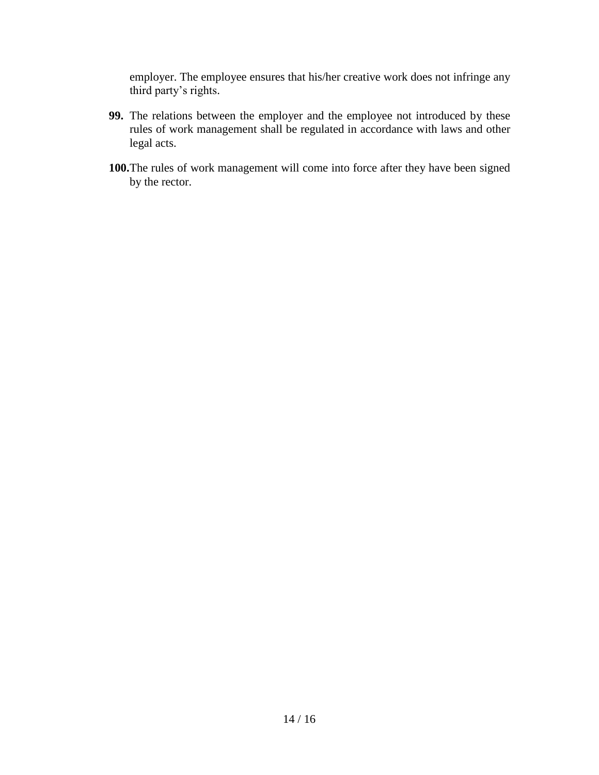employer. The employee ensures that his/her creative work does not infringe any third party's rights.

- **99.** The relations between the employer and the employee not introduced by these rules of work management shall be regulated in accordance with laws and other legal acts.
- **100.**The rules of work management will come into force after they have been signed by the rector.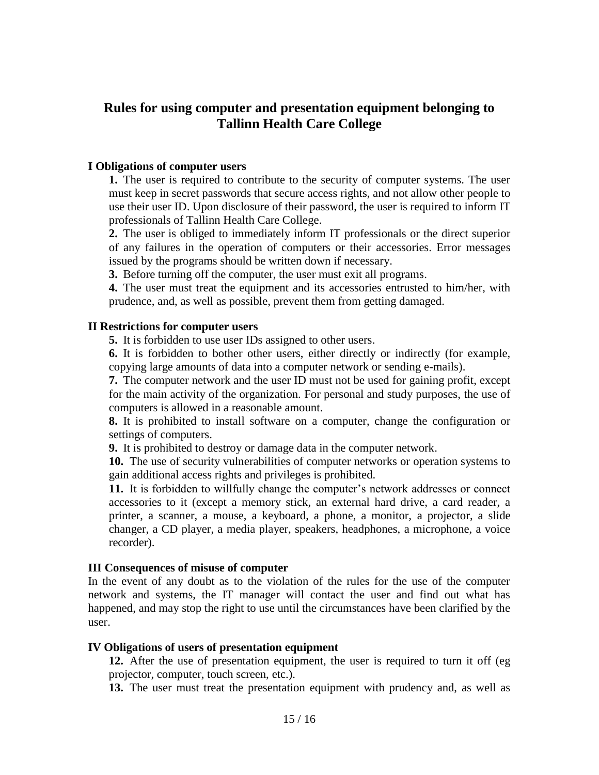### **Rules for using computer and presentation equipment belonging to Tallinn Health Care College**

#### **I Obligations of computer users**

**1.** The user is required to contribute to the security of computer systems. The user must keep in secret passwords that secure access rights, and not allow other people to use their user ID. Upon disclosure of their password, the user is required to inform IT professionals of Tallinn Health Care College.

**2.** The user is obliged to immediately inform IT professionals or the direct superior of any failures in the operation of computers or their accessories. Error messages issued by the programs should be written down if necessary.

**3.** Before turning off the computer, the user must exit all programs.

**4.** The user must treat the equipment and its accessories entrusted to him/her, with prudence, and, as well as possible, prevent them from getting damaged.

#### **II Restrictions for computer users**

**5.** It is forbidden to use user IDs assigned to other users.

**6.** It is forbidden to bother other users, either directly or indirectly (for example, copying large amounts of data into a computer network or sending e-mails).

**7.** The computer network and the user ID must not be used for gaining profit, except for the main activity of the organization. For personal and study purposes, the use of computers is allowed in a reasonable amount.

**8.** It is prohibited to install software on a computer, change the configuration or settings of computers.

**9.** It is prohibited to destroy or damage data in the computer network.

**10.** The use of security vulnerabilities of computer networks or operation systems to gain additional access rights and privileges is prohibited.

**11.** It is forbidden to willfully change the computer's network addresses or connect accessories to it (except a memory stick, an external hard drive, a card reader, a printer, a scanner, a mouse, a keyboard, a phone, a monitor, a projector, a slide changer, a CD player, a media player, speakers, headphones, a microphone, a voice recorder).

#### **III Consequences of misuse of computer**

In the event of any doubt as to the violation of the rules for the use of the computer network and systems, the IT manager will contact the user and find out what has happened, and may stop the right to use until the circumstances have been clarified by the user.

#### **IV Obligations of users of presentation equipment**

**12.** After the use of presentation equipment, the user is required to turn it off (eg projector, computer, touch screen, etc.).

**13.** The user must treat the presentation equipment with prudency and, as well as